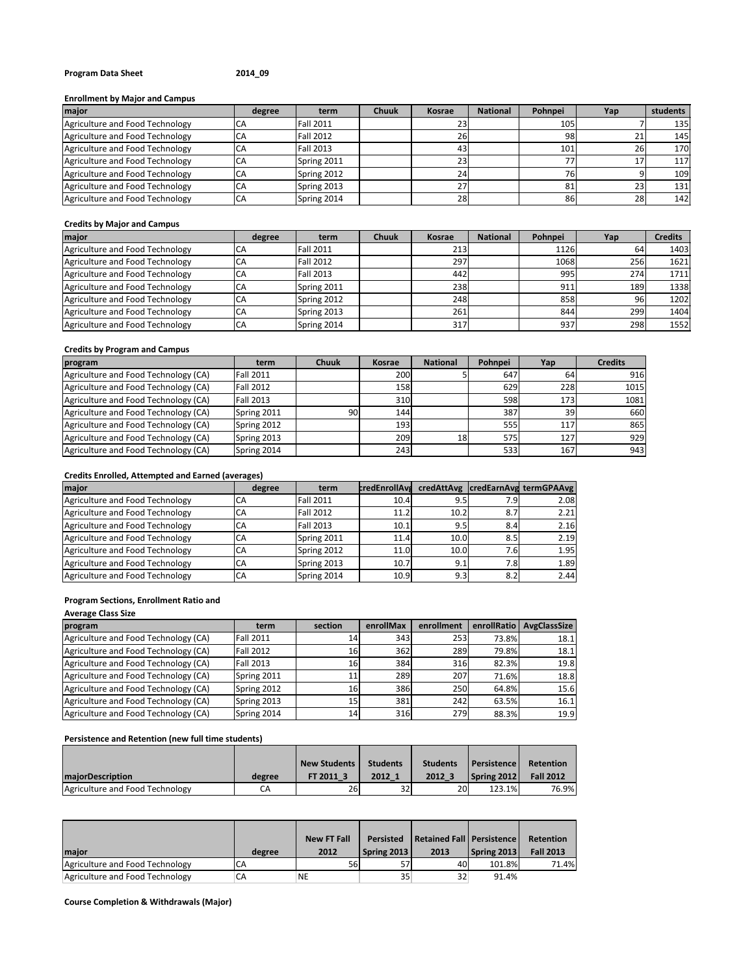## **Program Data Sheet 2014\_09**

## **Enrollment by Major and Campus**

| major                           | degree | term             | <b>Chuuk</b> | Kosrae    | <b>National</b> | Pohnpei | Yap | students |
|---------------------------------|--------|------------------|--------------|-----------|-----------------|---------|-----|----------|
| Agriculture and Food Technology |        | <b>Fall 2011</b> |              |           |                 | 105     |     | 135      |
| Agriculture and Food Technology | CА     | <b>Fall 2012</b> |              | <b>26</b> |                 | 98      |     | 145      |
| Agriculture and Food Technology | CΑ     | <b>Fall 2013</b> |              | 43        |                 | 101     | 26  | 170      |
| Agriculture and Food Technology | CA     | Spring 2011      |              | 23        |                 | 77      |     | 117      |
| Agriculture and Food Technology | CА     | Spring 2012      |              | 24        |                 | 76      |     | 109      |
| Agriculture and Food Technology | CΑ     | Spring 2013      |              |           |                 | 81      | 23  | 131      |
| Agriculture and Food Technology | CА     | Spring 2014      |              | <b>28</b> |                 | 86      | 28  | 142      |

#### **Credits by Major and Campus**

| major                           | degree | term             | <b>Chuuk</b> | Kosrae | <b>National</b> | Pohnpei | Yap | <b>Credits</b> |
|---------------------------------|--------|------------------|--------------|--------|-----------------|---------|-----|----------------|
| Agriculture and Food Technology | CΑ     | <b>Fall 2011</b> |              | 213    |                 | 1126    | 64  | 1403           |
| Agriculture and Food Technology |        | <b>Fall 2012</b> |              | 297    |                 | 1068    | 256 | 1621           |
| Agriculture and Food Technology | CА     | <b>Fall 2013</b> |              | 442    |                 | 995     | 274 | 1711           |
| Agriculture and Food Technology | СA     | Spring 2011      |              | 238    |                 | 911     | 189 | 1338           |
| Agriculture and Food Technology | СA     | Spring 2012      |              | 248    |                 | 858     | 96  | 1202           |
| Agriculture and Food Technology | СA     | Spring 2013      |              | 261    |                 | 844     | 299 | 1404           |
| Agriculture and Food Technology | CА     | Spring 2014      |              | 317    |                 | 937     | 298 | 1552           |

## **Credits by Program and Campus**

| program                              | term             | <b>Chuuk</b> | Kosrae | <b>National</b> | Pohnpei | Yap | <b>Credits</b> |
|--------------------------------------|------------------|--------------|--------|-----------------|---------|-----|----------------|
| Agriculture and Food Technology (CA) | <b>Fall 2011</b> |              | 200    |                 | 647     | 64  | 916            |
| Agriculture and Food Technology (CA) | <b>Fall 2012</b> |              | 158    |                 | 629     | 228 | 1015           |
| Agriculture and Food Technology (CA) | Fall 2013        |              | 310    |                 | 598     | 173 | 1081           |
| Agriculture and Food Technology (CA) | Spring 2011      | 90           | 144    |                 | 387     | 39  | 660            |
| Agriculture and Food Technology (CA) | Spring 2012      |              | 193    |                 | 555     | 117 | 865            |
| Agriculture and Food Technology (CA) | Spring 2013      |              | 2091   | 18              | 575     | 127 | 929            |
| Agriculture and Food Technology (CA) | Spring 2014      |              | 243    |                 | 533     | 167 | 943            |

## **Credits Enrolled, Attempted and Earned (averages)**

| major                           | degree | term             | credEnrollAva |      |      | credAttAvg credEarnAvg termGPAAvg |
|---------------------------------|--------|------------------|---------------|------|------|-----------------------------------|
| Agriculture and Food Technology | CА     | <b>Fall 2011</b> | 10.4          | 9.5  | 7.91 | 2.08                              |
| Agriculture and Food Technology | CA     | <b>Fall 2012</b> | 11.2          | 10.2 | 8.7  | 2.21                              |
| Agriculture and Food Technology | СA     | <b>Fall 2013</b> | 10.1          | 9.5  | 8.4  | 2.16                              |
| Agriculture and Food Technology | СA     | Spring 2011      | 11.4          | 10.0 | 8.5  | 2.19                              |
| Agriculture and Food Technology | CA     | Spring 2012      | 11.0          | 10.0 | 7.6I | 1.95                              |
| Agriculture and Food Technology | CA     | Spring 2013      | 10.7          | 9.1  | 7.8I | 1.89                              |
| Agriculture and Food Technology | CA     | Spring 2014      | 10.9          | 9.3  | 8.2  | 2.44                              |

## **Program Sections, Enrollment Ratio and**

#### **Average Class Size**

| program                              | term             | section         | enrollMax | enrollment | enrollRatio | <b>AvgClassSize</b> |
|--------------------------------------|------------------|-----------------|-----------|------------|-------------|---------------------|
| Agriculture and Food Technology (CA) | <b>Fall 2011</b> | 14              | 343       | 253        | 73.8%       | 18.1                |
| Agriculture and Food Technology (CA) | <b>Fall 2012</b> | 16              | 362       | 289        | 79.8%       | 18.1                |
| Agriculture and Food Technology (CA) | Fall 2013        | 16              | 384       | 316        | 82.3%       | 19.8                |
| Agriculture and Food Technology (CA) | Spring 2011      | 11              | 289       | 207        | 71.6%       | 18.8                |
| Agriculture and Food Technology (CA) | Spring 2012      | 16              | 386       | 250        | 64.8%       | 15.6                |
| Agriculture and Food Technology (CA) | Spring 2013      | 15 <sub>1</sub> | 381       | 242        | 63.5%       | 16.1                |
| Agriculture and Food Technology (CA) | Spring 2014      | 14              | 316       | 279        | 88.3%       | 19.9                |

# **Persistence and Retention (new full time students)**

|                                 |        | <b>New Students</b> | <b>Students</b> | <b>Students</b> | Persistence | Retention        |
|---------------------------------|--------|---------------------|-----------------|-----------------|-------------|------------------|
| <b>majorDescription</b>         | degree | FT 2011 3           | 2012 1          | 2012 3          | Spring 2012 | <b>Fall 2012</b> |
| Agriculture and Food Technology | СA     | 26                  | 32              | <b>20</b>       | 123.1%      | 76.9%            |

|                                 |        | <b>New FT Fall</b> | Persisted   | Retained Fall   Persistence |             | Retention        |
|---------------------------------|--------|--------------------|-------------|-----------------------------|-------------|------------------|
| <b>Imaior</b>                   | degree | 2012               | Spring 2013 | 2013                        | Spring 2013 | <b>Fall 2013</b> |
| Agriculture and Food Technology | СA     | 56                 |             | 40                          | 101.8%      | 71.4%            |
| Agriculture and Food Technology | СA     | NE                 | 35          | 32                          | 91.4%       |                  |

**Course Completion & Withdrawals (Major)**